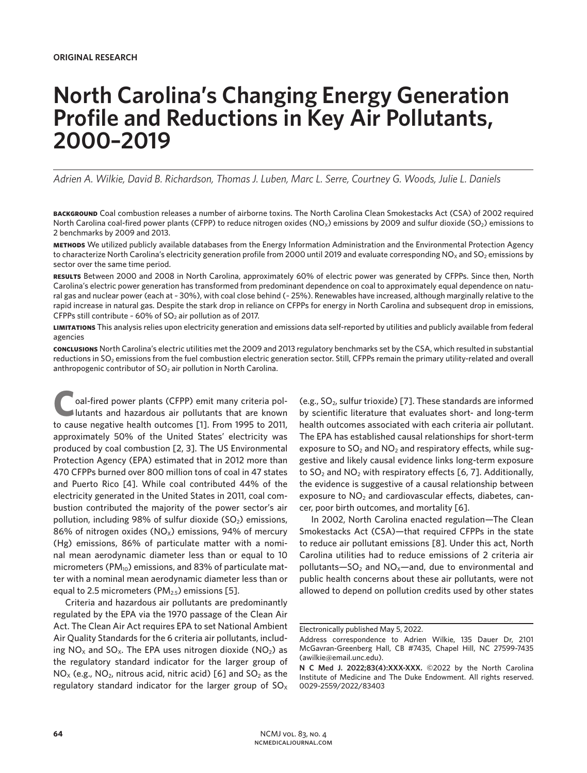# **North Carolina's Changing Energy Generation Profile and Reductions in Key Air Pollutants, 2000–2019**

*Adrien A. Wilkie, David B. Richardson, Thomas J. Luben, Marc L. Serre, Courtney G. Woods, Julie L. Daniels*

**background** Coal combustion releases a number of airborne toxins. The North Carolina Clean Smokestacks Act (CSA) of 2002 required North Carolina coal-fired power plants (CFPP) to reduce nitrogen oxides (NO<sub>x</sub>) emissions by 2009 and sulfur dioxide (SO<sub>2</sub>) emissions to 2 benchmarks by 2009 and 2013.

**methods** We utilized publicly available databases from the Energy Information Administration and the Environmental Protection Agency to characterize North Carolina's electricity generation profile from 2000 until 2019 and evaluate corresponding NO<sub>x</sub> and SO<sub>2</sub> emissions by sector over the same time period.

**results** Between 2000 and 2008 in North Carolina, approximately 60% of electric power was generated by CFPPs. Since then, North Carolina's electric power generation has transformed from predominant dependence on coal to approximately equal dependence on natural gas and nuclear power (each at ~ 30%), with coal close behind (~ 25%). Renewables have increased, although marginally relative to the rapid increase in natural gas. Despite the stark drop in reliance on CFPPs for energy in North Carolina and subsequent drop in emissions, CFPPs still contribute  $\sim$  60% of SO<sub>2</sub> air pollution as of 2017.

**limitations** This analysis relies upon electricity generation and emissions data self-reported by utilities and publicly available from federal agencies

**conclusions** North Carolina's electric utilities met the 2009 and 2013 regulatory benchmarks set by the CSA, which resulted in substantial reductions in SO<sub>2</sub> emissions from the fuel combustion electric generation sector. Still, CFPPs remain the primary utility-related and overall anthropogenic contributor of  $SO<sub>2</sub>$  air pollution in North Carolina.

**C**oal-fired power plants (CFPP) emit many criteria pollutants and hazardous air pollutants that are known to cause negative health outcomes [1]. From 1995 to 2011, approximately 50% of the United States' electricity was produced by coal combustion [2, 3]. The US Environmental Protection Agency (EPA) estimated that in 2012 more than 470 CFPPs burned over 800 million tons of coal in 47 states and Puerto Rico [4]. While coal contributed 44% of the electricity generated in the United States in 2011, coal combustion contributed the majority of the power sector's air pollution, including 98% of sulfur dioxide  $(SO<sub>2</sub>)$  emissions, 86% of nitrogen oxides ( $NO<sub>x</sub>$ ) emissions, 94% of mercury (Hg) emissions, 86% of particulate matter with a nominal mean aerodynamic diameter less than or equal to 10 micrometers ( $PM_{10}$ ) emissions, and 83% of particulate matter with a nominal mean aerodynamic diameter less than or equal to 2.5 micrometers ( $PM<sub>2.5</sub>$ ) emissions [5].

Criteria and hazardous air pollutants are predominantly regulated by the EPA via the 1970 passage of the Clean Air Act. The Clean Air Act requires EPA to set National Ambient Air Quality Standards for the 6 criteria air pollutants, including  $NO<sub>x</sub>$  and  $SO<sub>x</sub>$ . The EPA uses nitrogen dioxide ( $NO<sub>2</sub>$ ) as the regulatory standard indicator for the larger group of  $NO<sub>x</sub>$  (e.g.,  $NO<sub>2</sub>$ , nitrous acid, nitric acid) [6] and  $SO<sub>2</sub>$  as the regulatory standard indicator for the larger group of  $SO<sub>x</sub>$ 

(e.g.,  $SO_2$ , sulfur trioxide) [7]. These standards are informed by scientific literature that evaluates short- and long-term health outcomes associated with each criteria air pollutant. The EPA has established causal relationships for short-term exposure to  $SO<sub>2</sub>$  and  $NO<sub>2</sub>$  and respiratory effects, while suggestive and likely causal evidence links long-term exposure to  $SO<sub>2</sub>$  and  $NO<sub>2</sub>$  with respiratory effects [6, 7]. Additionally, the evidence is suggestive of a causal relationship between exposure to  $NO<sub>2</sub>$  and cardiovascular effects, diabetes, cancer, poor birth outcomes, and mortality [6].

In 2002, North Carolina enacted regulation—The Clean Smokestacks Act (CSA)—that required CFPPs in the state to reduce air pollutant emissions [8]. Under this act, North Carolina utilities had to reduce emissions of 2 criteria air pollutants- $SO_2$  and  $NO_x$ -and, due to environmental and public health concerns about these air pollutants, were not allowed to depend on pollution credits used by other states

Electronically published May 5, 2022.

Address correspondence to Adrien Wilkie, 135 Dauer Dr, 2101 McGavran-Greenberg Hall, CB #7435, Chapel Hill, NC 27599-7435 (awilkie@email.unc.edu).

**N C Med J. 2022;83(4):XXX-XXX.** ©2022 by the North Carolina Institute of Medicine and The Duke Endowment. All rights reserved. 0029-2559/2022/83403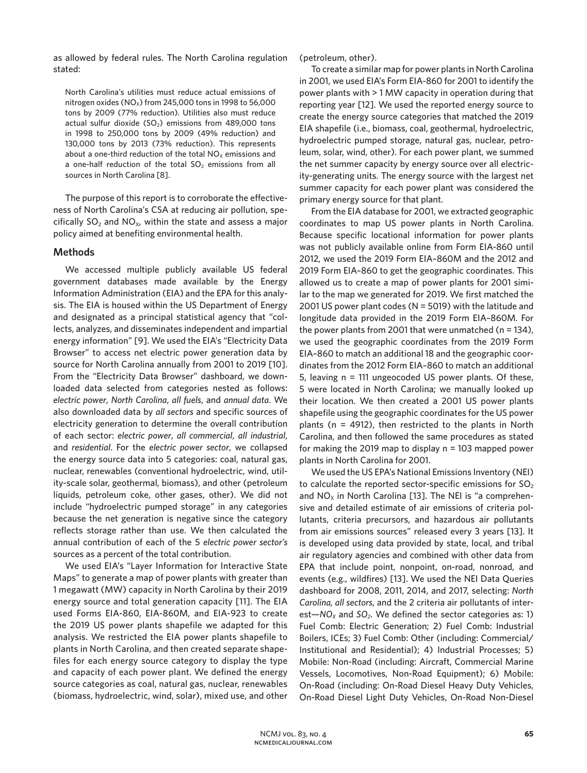as allowed by federal rules. The North Carolina regulation stated:

North Carolina's utilities must reduce actual emissions of nitrogen oxides (NO<sub>x</sub>) from 245,000 tons in 1998 to 56,000 tons by 2009 (77% reduction). Utilities also must reduce actual sulfur dioxide ( $SO<sub>2</sub>$ ) emissions from 489,000 tons in 1998 to 250,000 tons by 2009 (49% reduction) and 130,000 tons by 2013 (73% reduction). This represents about a one-third reduction of the total  $NO<sub>x</sub>$  emissions and a one-half reduction of the total  $SO<sub>2</sub>$  emissions from all sources in North Carolina [8].

The purpose of this report is to corroborate the effectiveness of North Carolina's CSA at reducing air pollution, specifically  $SO_2$  and  $NO_{X}$ , within the state and assess a major policy aimed at benefiting environmental health.

### **Methods**

We accessed multiple publicly available US federal government databases made available by the Energy Information Administration (EIA) and the EPA for this analysis. The EIA is housed within the US Department of Energy and designated as a principal statistical agency that "collects, analyzes, and disseminates independent and impartial energy information" [9]. We used the EIA's "Electricity Data Browser" to access net electric power generation data by source for North Carolina annually from 2001 to 2019 [10]. From the "Electricity Data Browser" dashboard, we downloaded data selected from categories nested as follows: *electric power*, *North Carolina*, *all fuels*, and *annual data*. We also downloaded data by *all sectors* and specific sources of electricity generation to determine the overall contribution of each sector: *electric power*, *all commercial*, *all industrial*, and *residential*. For the *electric power sector*, we collapsed the energy source data into 5 categories: coal, natural gas, nuclear, renewables (conventional hydroelectric, wind, utility-scale solar, geothermal, biomass), and other (petroleum liquids, petroleum coke, other gases, other). We did not include "hydroelectric pumped storage" in any categories because the net generation is negative since the category reflects storage rather than use. We then calculated the annual contribution of each of the 5 *electric power sector's*  sources as a percent of the total contribution.

We used EIA's "Layer Information for Interactive State Maps" to generate a map of power plants with greater than 1 megawatt (MW) capacity in North Carolina by their 2019 energy source and total generation capacity [11]. The EIA used Forms EIA-860, EIA-860M, and EIA-923 to create the 2019 US power plants shapefile we adapted for this analysis. We restricted the EIA power plants shapefile to plants in North Carolina, and then created separate shapefiles for each energy source category to display the type and capacity of each power plant. We defined the energy source categories as coal, natural gas, nuclear, renewables (biomass, hydroelectric, wind, solar), mixed use, and other (petroleum, other).

To create a similar map for power plants in North Carolina in 2001, we used EIA's Form EIA-860 for 2001 to identify the power plants with > 1 MW capacity in operation during that reporting year [12]. We used the reported energy source to create the energy source categories that matched the 2019 EIA shapefile (i.e., biomass, coal, geothermal, hydroelectric, hydroelectric pumped storage, natural gas, nuclear, petroleum, solar, wind, other). For each power plant, we summed the net summer capacity by energy source over all electricity-generating units. The energy source with the largest net summer capacity for each power plant was considered the primary energy source for that plant.

From the EIA database for 2001, we extracted geographic coordinates to map US power plants in North Carolina. Because specific locational information for power plants was not publicly available online from Form EIA-860 until 2012, we used the 2019 Form EIA–860M and the 2012 and 2019 Form EIA–860 to get the geographic coordinates. This allowed us to create a map of power plants for 2001 similar to the map we generated for 2019. We first matched the 2001 US power plant codes (N = 5019) with the latitude and longitude data provided in the 2019 Form EIA–860M. For the power plants from 2001 that were unmatched ( $n = 134$ ), we used the geographic coordinates from the 2019 Form EIA–860 to match an additional 18 and the geographic coordinates from the 2012 Form EIA–860 to match an additional 5, leaving n = 111 ungeocoded US power plants. Of these, 5 were located in North Carolina; we manually looked up their location. We then created a 2001 US power plants shapefile using the geographic coordinates for the US power plants (n = 4912), then restricted to the plants in North Carolina, and then followed the same procedures as stated for making the 2019 map to display  $n = 103$  mapped power plants in North Carolina for 2001.

We used the US EPA's National Emissions Inventory (NEI) to calculate the reported sector-specific emissions for  $SO<sub>2</sub>$ and  $NO<sub>x</sub>$  in North Carolina [13]. The NEI is "a comprehensive and detailed estimate of air emissions of criteria pollutants, criteria precursors, and hazardous air pollutants from air emissions sources" released every 3 years [13]. It is developed using data provided by state, local, and tribal air regulatory agencies and combined with other data from EPA that include point, nonpoint, on-road, nonroad, and events (e.g., wildfires) [13]. We used the NEI Data Queries dashboard for 2008, 2011, 2014, and 2017, selecting: *North Carolina, all sectors*, and the 2 criteria air pollutants of interest-*NO<sub>x</sub>* and *SO<sub>2</sub>*. We defined the sector categories as: 1) Fuel Comb: Electric Generation; 2) Fuel Comb: Industrial Boilers, ICEs; 3) Fuel Comb: Other (including: Commercial/ Institutional and Residential); 4) Industrial Processes; 5) Mobile: Non-Road (including: Aircraft, Commercial Marine Vessels, Locomotives, Non-Road Equipment); 6) Mobile: On-Road (including: On-Road Diesel Heavy Duty Vehicles, On-Road Diesel Light Duty Vehicles, On-Road Non-Diesel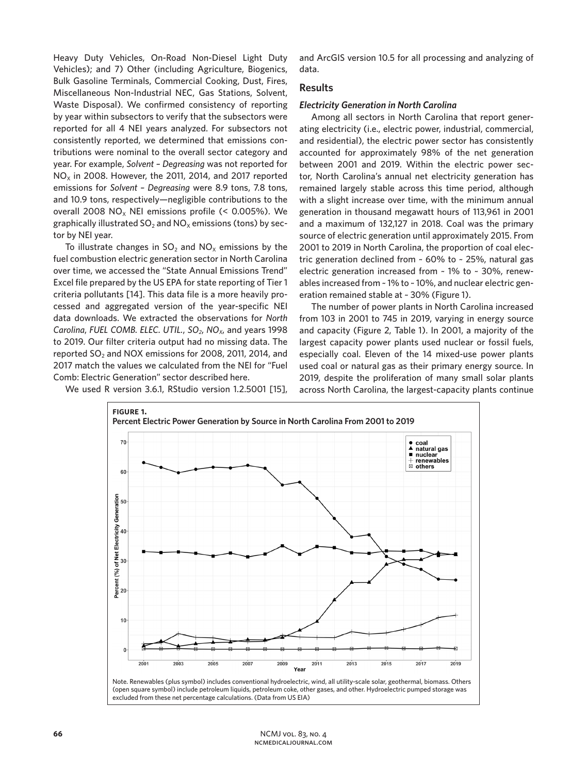Heavy Duty Vehicles, On-Road Non-Diesel Light Duty Vehicles); and 7) Other (including Agriculture, Biogenics, Bulk Gasoline Terminals, Commercial Cooking, Dust, Fires, Miscellaneous Non-Industrial NEC, Gas Stations, Solvent, Waste Disposal). We confirmed consistency of reporting by year within subsectors to verify that the subsectors were reported for all 4 NEI years analyzed. For subsectors not consistently reported, we determined that emissions contributions were nominal to the overall sector category and year. For example, *Solvent – Degreasing* was not reported for  $NO<sub>x</sub>$  in 2008. However, the 2011, 2014, and 2017 reported emissions for *Solvent – Degreasing* were 8.9 tons, 7.8 tons, and 10.9 tons, respectively—negligible contributions to the overall 2008 NO<sub>x</sub> NEI emissions profile  $(< 0.005\%)$ . We graphically illustrated  $SO_2$  and  $NO<sub>x</sub>$  emissions (tons) by sector by NEI year.

To illustrate changes in  $SO_2$  and  $NO_x$  emissions by the fuel combustion electric generation sector in North Carolina over time, we accessed the "State Annual Emissions Trend" Excel file prepared by the US EPA for state reporting of Tier 1 criteria pollutants [14]. This data file is a more heavily processed and aggregated version of the year-specific NEI data downloads. We extracted the observations for *North Carolina, FUEL COMB. ELEC. UTIL., SO<sub>2</sub>, NO<sub>x</sub>, and years 1998* to 2019. Our filter criteria output had no missing data. The reported SO<sub>2</sub> and NOX emissions for 2008, 2011, 2014, and 2017 match the values we calculated from the NEI for "Fuel Comb: Electric Generation" sector described here.

We used R version 3.6.1, RStudio version 1.2.5001 [15],

and ArcGIS version 10.5 for all processing and analyzing of data.

## **Results**

#### *Electricity Generation in North Carolina*

Among all sectors in North Carolina that report generating electricity (i.e., electric power, industrial, commercial, and residential), the electric power sector has consistently accounted for approximately 98% of the net generation between 2001 and 2019. Within the electric power sector, North Carolina's annual net electricity generation has remained largely stable across this time period, although with a slight increase over time, with the minimum annual generation in thousand megawatt hours of 113,961 in 2001 and a maximum of 132,127 in 2018. Coal was the primary source of electric generation until approximately 2015. From 2001 to 2019 in North Carolina, the proportion of coal electric generation declined from ~ 60% to ~ 25%, natural gas electric generation increased from ~ 1% to ~ 30%, renewables increased from ~ 1% to ~ 10%, and nuclear electric generation remained stable at ~ 30% (Figure 1).

The number of power plants in North Carolina increased from 103 in 2001 to 745 in 2019, varying in energy source and capacity (Figure 2, Table 1). In 2001, a majority of the largest capacity power plants used nuclear or fossil fuels, especially coal. Eleven of the 14 mixed-use power plants used coal or natural gas as their primary energy source. In 2019, despite the proliferation of many small solar plants across North Carolina, the largest-capacity plants continue



(open square symbol) include petroleum liquids, petroleum coke, other gases, and other. Hydroelectric pumped storage was excluded from these net percentage calculations. (Data from US EIA)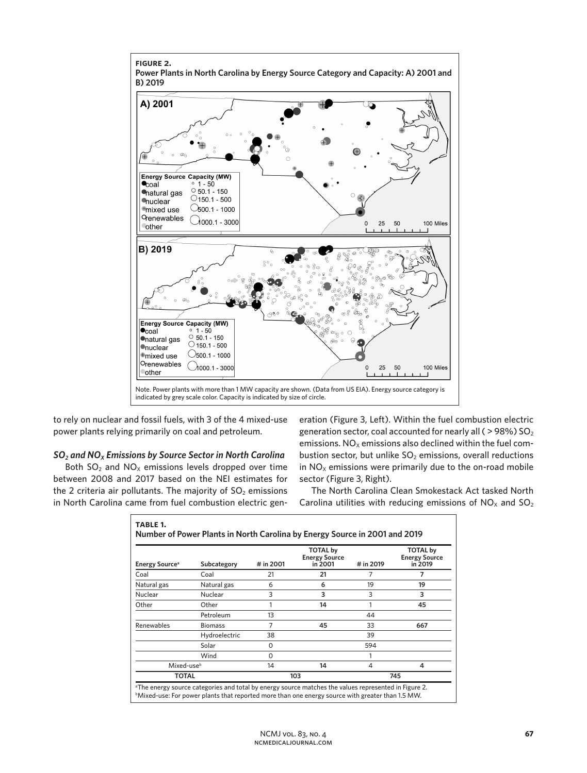

to rely on nuclear and fossil fuels, with 3 of the 4 mixed-use power plants relying primarily on coal and petroleum.

## *SO2 and NOX Emissions by Source Sector in North Carolina*

Both  $SO_2$  and  $NO_X$  emissions levels dropped over time between 2008 and 2017 based on the NEI estimates for the 2 criteria air pollutants. The majority of  $SO<sub>2</sub>$  emissions in North Carolina came from fuel combustion electric generation (Figure 3, Left). Within the fuel combustion electric generation sector, coal accounted for nearly all ( $>$ 98%) SO<sub>2</sub> emissions.  $NO<sub>x</sub>$  emissions also declined within the fuel combustion sector, but unlike  $SO<sub>2</sub>$  emissions, overall reductions in  $NO<sub>x</sub>$  emissions were primarily due to the on-road mobile sector (Figure 3, Right).

The North Carolina Clean Smokestack Act tasked North Carolina utilities with reducing emissions of  $NO<sub>x</sub>$  and  $SO<sub>2</sub>$ 

| <b>Energy Source</b> <sup>a</sup> | Subcategory    | # in 2001 | <b>TOTAL by</b><br><b>Energy Source</b><br>in 2001 | # in 2019 | <b>TOTAL by</b><br><b>Energy Source</b><br>in 2019 |
|-----------------------------------|----------------|-----------|----------------------------------------------------|-----------|----------------------------------------------------|
| Coal                              | Coal           | 21        | 21                                                 | 7         | 7                                                  |
| Natural gas                       | Natural gas    | 6         | 6                                                  | 19        | 19                                                 |
| Nuclear                           | Nuclear        | 3         | 3                                                  | 3         | 3                                                  |
| Other                             | Other          | 1         | 14                                                 |           | 45                                                 |
|                                   | Petroleum      | 13        |                                                    | 44        |                                                    |
| Renewables                        | <b>Biomass</b> | 7         | 45                                                 | 33        | 667                                                |
|                                   | Hydroelectric  | 38        |                                                    | 39        |                                                    |
|                                   | Solar          | O         |                                                    | 594       |                                                    |
|                                   | Wind           | O         |                                                    |           |                                                    |
| Mixed-use <sup>b</sup>            |                | 14        | 14                                                 | 4         | 4                                                  |
| <b>TOTAL</b>                      |                | 103       |                                                    | 745       |                                                    |

 $^{\rm b}$ Mixed-use: For power plants that reported more than one energy source with greater than 1.5 MW.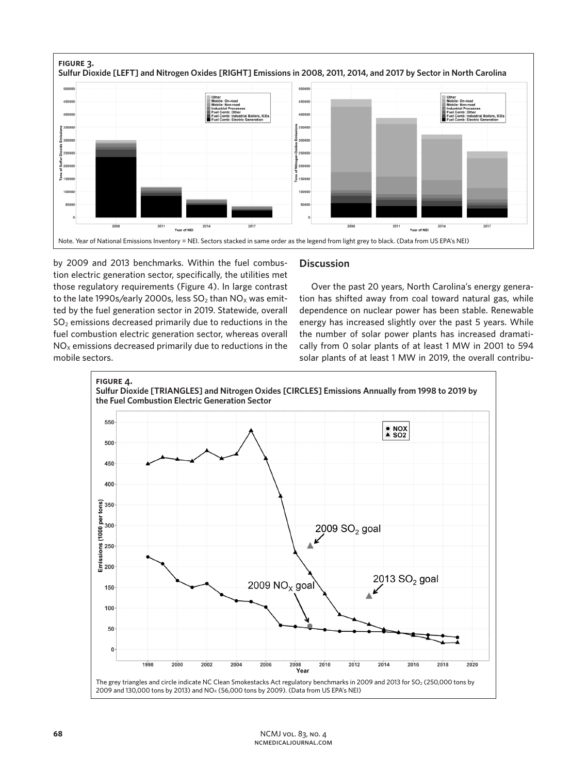

by 2009 and 2013 benchmarks. Within the fuel combustion electric generation sector, specifically, the utilities met those regulatory requirements (Figure 4). In large contrast to the late 1990s/early 2000s, less  $SO<sub>2</sub>$  than  $NO<sub>x</sub>$  was emitted by the fuel generation sector in 2019. Statewide, overall  $SO<sub>2</sub>$  emissions decreased primarily due to reductions in the fuel combustion electric generation sector, whereas overall  $NO<sub>x</sub>$  emissions decreased primarily due to reductions in the mobile sectors.

# **Discussion**

Over the past 20 years, North Carolina's energy generation has shifted away from coal toward natural gas, while dependence on nuclear power has been stable. Renewable energy has increased slightly over the past 5 years. While the number of solar power plants has increased dramatically from 0 solar plants of at least 1 MW in 2001 to 594 solar plants of at least 1 MW in 2019, the overall contribu-

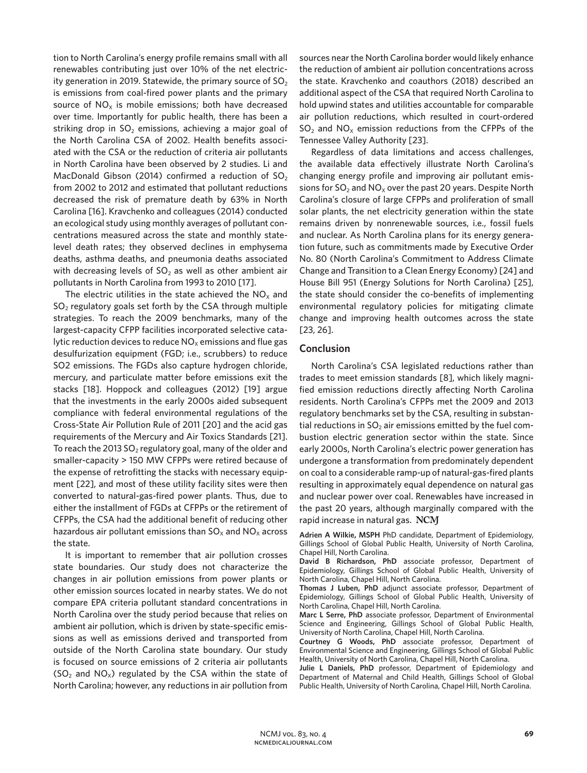tion to North Carolina's energy profile remains small with all renewables contributing just over 10% of the net electricity generation in 2019. Statewide, the primary source of  $SO<sub>2</sub>$ is emissions from coal-fired power plants and the primary source of  $NO<sub>x</sub>$  is mobile emissions; both have decreased over time. Importantly for public health, there has been a striking drop in  $SO<sub>2</sub>$  emissions, achieving a major goal of the North Carolina CSA of 2002. Health benefits associated with the CSA or the reduction of criteria air pollutants in North Carolina have been observed by 2 studies. Li and MacDonald Gibson (2014) confirmed a reduction of  $SO_2$ from 2002 to 2012 and estimated that pollutant reductions decreased the risk of premature death by 63% in North Carolina [16]. Kravchenko and colleagues (2014) conducted an ecological study using monthly averages of pollutant concentrations measured across the state and monthly statelevel death rates; they observed declines in emphysema deaths, asthma deaths, and pneumonia deaths associated with decreasing levels of  $SO<sub>2</sub>$  as well as other ambient air pollutants in North Carolina from 1993 to 2010 [17].

The electric utilities in the state achieved the  $NO<sub>x</sub>$  and  $SO<sub>2</sub>$  regulatory goals set forth by the CSA through multiple strategies. To reach the 2009 benchmarks, many of the largest-capacity CFPP facilities incorporated selective catalytic reduction devices to reduce  $NO<sub>x</sub>$  emissions and flue gas desulfurization equipment (FGD; i.e., scrubbers) to reduce SO2 emissions. The FGDs also capture hydrogen chloride, mercury, and particulate matter before emissions exit the stacks [18]. Hoppock and colleagues (2012) [19] argue that the investments in the early 2000s aided subsequent compliance with federal environmental regulations of the Cross-State Air Pollution Rule of 2011 [20] and the acid gas requirements of the Mercury and Air Toxics Standards [21]. To reach the 2013 SO<sub>2</sub> regulatory goal, many of the older and smaller-capacity > 150 MW CFPPs were retired because of the expense of retrofitting the stacks with necessary equipment [22], and most of these utility facility sites were then converted to natural-gas-fired power plants. Thus, due to either the installment of FGDs at CFPPs or the retirement of CFPPs, the CSA had the additional benefit of reducing other hazardous air pollutant emissions than  $SO_x$  and  $NO_x$  across the state.

It is important to remember that air pollution crosses state boundaries. Our study does not characterize the changes in air pollution emissions from power plants or other emission sources located in nearby states. We do not compare EPA criteria pollutant standard concentrations in North Carolina over the study period because that relies on ambient air pollution, which is driven by state-specific emissions as well as emissions derived and transported from outside of the North Carolina state boundary. Our study is focused on source emissions of 2 criteria air pollutants  $(SO<sub>2</sub>$  and  $NO<sub>x</sub>)$  regulated by the CSA within the state of North Carolina; however, any reductions in air pollution from

sources near the North Carolina border would likely enhance the reduction of ambient air pollution concentrations across the state. Kravchenko and coauthors (2018) described an additional aspect of the CSA that required North Carolina to hold upwind states and utilities accountable for comparable air pollution reductions, which resulted in court-ordered  $SO<sub>2</sub>$  and  $NO<sub>x</sub>$  emission reductions from the CFPPs of the Tennessee Valley Authority [23].

Regardless of data limitations and access challenges, the available data effectively illustrate North Carolina's changing energy profile and improving air pollutant emissions for  $SO_2$  and  $NO_x$  over the past 20 years. Despite North Carolina's closure of large CFPPs and proliferation of small solar plants, the net electricity generation within the state remains driven by nonrenewable sources, i.e., fossil fuels and nuclear. As North Carolina plans for its energy generation future, such as commitments made by Executive Order No. 80 (North Carolina's Commitment to Address Climate Change and Transition to a Clean Energy Economy) [24] and House Bill 951 (Energy Solutions for North Carolina) [25], the state should consider the co-benefits of implementing environmental regulatory policies for mitigating climate change and improving health outcomes across the state [23, 26].

#### **Conclusion**

North Carolina's CSA legislated reductions rather than trades to meet emission standards [8], which likely magnified emission reductions directly affecting North Carolina residents. North Carolina's CFPPs met the 2009 and 2013 regulatory benchmarks set by the CSA, resulting in substantial reductions in  $SO<sub>2</sub>$  air emissions emitted by the fuel combustion electric generation sector within the state. Since early 2000s, North Carolina's electric power generation has undergone a transformation from predominately dependent on coal to a considerable ramp-up of natural-gas-fired plants resulting in approximately equal dependence on natural gas and nuclear power over coal. Renewables have increased in the past 20 years, although marginally compared with the rapid increase in natural gas. NCM

**Adrien A Wilkie, MSPH** PhD candidate, Department of Epidemiology, Gillings School of Global Public Health, University of North Carolina, Chapel Hill, North Carolina.

**David B Richardson, PhD** associate professor, Department of Epidemiology, Gillings School of Global Public Health, University of North Carolina, Chapel Hill, North Carolina.

**Thomas J Luben, PhD** adjunct associate professor, Department of Epidemiology, Gillings School of Global Public Health, University of North Carolina, Chapel Hill, North Carolina.

**Marc L Serre, PhD** associate professor, Department of Environmental Science and Engineering, Gillings School of Global Public Health, University of North Carolina, Chapel Hill, North Carolina.

**Courtney G Woods, PhD** associate professor, Department of Environmental Science and Engineering, Gillings School of Global Public Health, University of North Carolina, Chapel Hill, North Carolina.

**Julie L Daniels, PhD** professor, Department of Epidemiology and Department of Maternal and Child Health, Gillings School of Global Public Health, University of North Carolina, Chapel Hill, North Carolina.